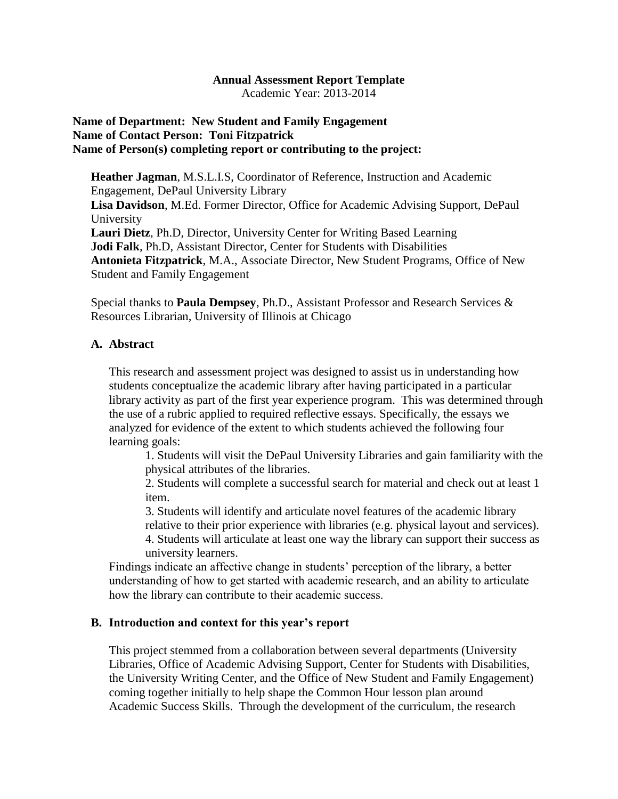#### **Annual Assessment Report Template**

Academic Year: 2013-2014

### **Name of Department: New Student and Family Engagement Name of Contact Person: Toni Fitzpatrick Name of Person(s) completing report or contributing to the project:**

**Heather Jagman**, M.S.L.I.S, Coordinator of Reference, Instruction and Academic Engagement, DePaul University Library **Lisa Davidson**, M.Ed. Former Director, Office for Academic Advising Support, DePaul University **Lauri Dietz**, Ph.D, Director, University Center for Writing Based Learning **Jodi Falk**, Ph.D, Assistant Director, Center for Students with Disabilities **Antonieta Fitzpatrick**, M.A., Associate Director, New Student Programs, Office of New Student and Family Engagement

Special thanks to **Paula Dempsey**, Ph.D., Assistant Professor and Research Services & Resources Librarian, University of Illinois at Chicago

#### **A. Abstract**

This research and assessment project was designed to assist us in understanding how students conceptualize the academic library after having participated in a particular library activity as part of the first year experience program. This was determined through the use of a rubric applied to required reflective essays. Specifically, the essays we analyzed for evidence of the extent to which students achieved the following four learning goals:

1. Students will visit the DePaul University Libraries and gain familiarity with the physical attributes of the libraries.

2. Students will complete a successful search for material and check out at least 1 item.

3. Students will identify and articulate novel features of the academic library relative to their prior experience with libraries (e.g. physical layout and services).

4. Students will articulate at least one way the library can support their success as university learners.

Findings indicate an affective change in students' perception of the library, a better understanding of how to get started with academic research, and an ability to articulate how the library can contribute to their academic success.

#### **B. Introduction and context for this year's report**

This project stemmed from a collaboration between several departments (University Libraries, Office of Academic Advising Support, Center for Students with Disabilities, the University Writing Center, and the Office of New Student and Family Engagement) coming together initially to help shape the Common Hour lesson plan around Academic Success Skills. Through the development of the curriculum, the research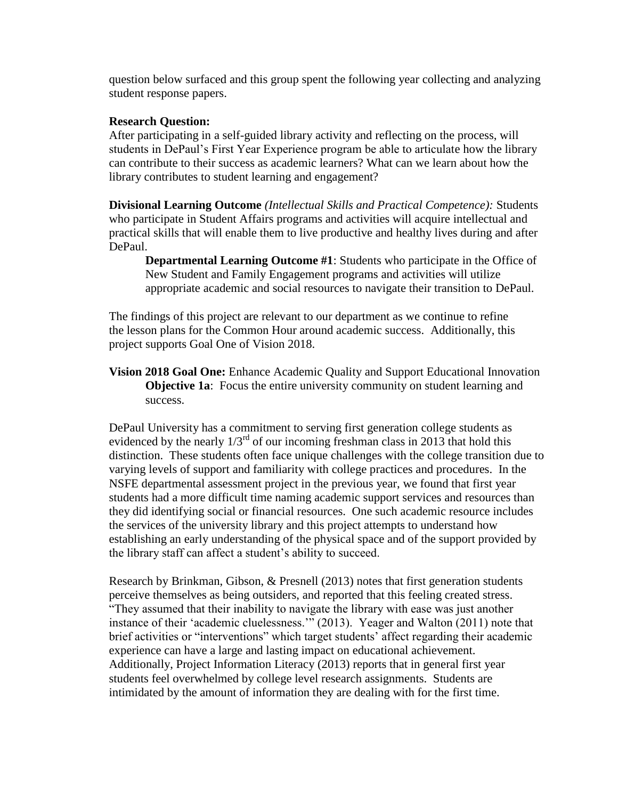question below surfaced and this group spent the following year collecting and analyzing student response papers.

### **Research Question:**

After participating in a self-guided library activity and reflecting on the process, will students in DePaul"s First Year Experience program be able to articulate how the library can contribute to their success as academic learners? What can we learn about how the library contributes to student learning and engagement?

**Divisional Learning Outcome** *(Intellectual Skills and Practical Competence):* Students who participate in Student Affairs programs and activities will acquire intellectual and practical skills that will enable them to live productive and healthy lives during and after DePaul.

**Departmental Learning Outcome #1**: Students who participate in the Office of New Student and Family Engagement programs and activities will utilize appropriate academic and social resources to navigate their transition to DePaul.

The findings of this project are relevant to our department as we continue to refine the lesson plans for the Common Hour around academic success. Additionally, this project supports Goal One of Vision 2018.

**Vision 2018 Goal One:** Enhance Academic Quality and Support Educational Innovation **Objective 1a:** Focus the entire university community on student learning and success.

DePaul University has a commitment to serving first generation college students as evidenced by the nearly  $1/3^{rd}$  of our incoming freshman class in 2013 that hold this distinction. These students often face unique challenges with the college transition due to varying levels of support and familiarity with college practices and procedures. In the NSFE departmental assessment project in the previous year, we found that first year students had a more difficult time naming academic support services and resources than they did identifying social or financial resources. One such academic resource includes the services of the university library and this project attempts to understand how establishing an early understanding of the physical space and of the support provided by the library staff can affect a student"s ability to succeed.

Research by Brinkman, Gibson, & Presnell (2013) notes that first generation students perceive themselves as being outsiders, and reported that this feeling created stress. "They assumed that their inability to navigate the library with ease was just another instance of their "academic cluelessness."" (2013). Yeager and Walton (2011) note that brief activities or "interventions" which target students" affect regarding their academic experience can have a large and lasting impact on educational achievement. Additionally, Project Information Literacy (2013) reports that in general first year students feel overwhelmed by college level research assignments. Students are intimidated by the amount of information they are dealing with for the first time.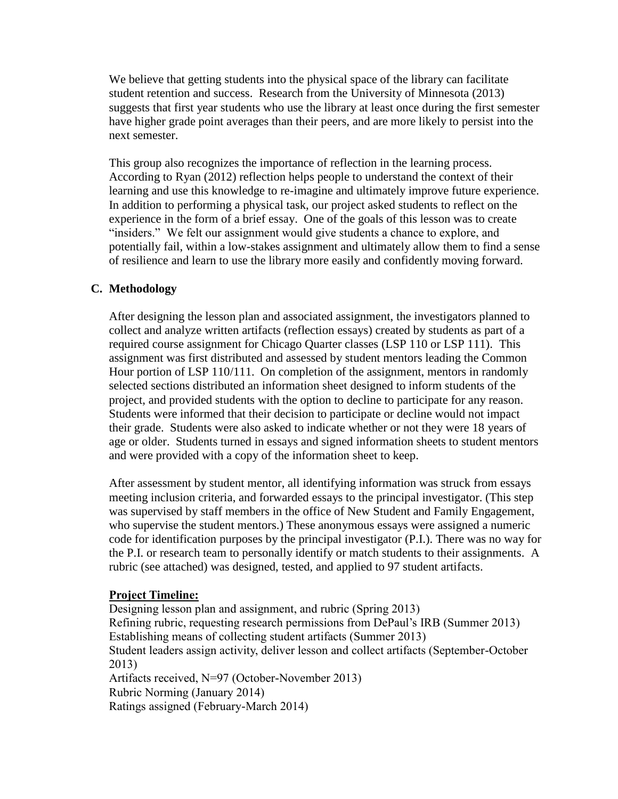We believe that getting students into the physical space of the library can facilitate student retention and success. Research from the University of Minnesota (2013) suggests that first year students who use the library at least once during the first semester have higher grade point averages than their peers, and are more likely to persist into the next semester.

This group also recognizes the importance of reflection in the learning process. According to Ryan (2012) reflection helps people to understand the context of their learning and use this knowledge to re-imagine and ultimately improve future experience. In addition to performing a physical task, our project asked students to reflect on the experience in the form of a brief essay. One of the goals of this lesson was to create "insiders." We felt our assignment would give students a chance to explore, and potentially fail, within a low-stakes assignment and ultimately allow them to find a sense of resilience and learn to use the library more easily and confidently moving forward.

## **C. Methodology**

After designing the lesson plan and associated assignment, the investigators planned to collect and analyze written artifacts (reflection essays) created by students as part of a required course assignment for Chicago Quarter classes (LSP 110 or LSP 111). This assignment was first distributed and assessed by student mentors leading the Common Hour portion of LSP 110/111. On completion of the assignment, mentors in randomly selected sections distributed an information sheet designed to inform students of the project, and provided students with the option to decline to participate for any reason. Students were informed that their decision to participate or decline would not impact their grade. Students were also asked to indicate whether or not they were 18 years of age or older. Students turned in essays and signed information sheets to student mentors and were provided with a copy of the information sheet to keep.

After assessment by student mentor, all identifying information was struck from essays meeting inclusion criteria, and forwarded essays to the principal investigator. (This step was supervised by staff members in the office of New Student and Family Engagement, who supervise the student mentors.) These anonymous essays were assigned a numeric code for identification purposes by the principal investigator (P.I.). There was no way for the P.I. or research team to personally identify or match students to their assignments. A rubric (see attached) was designed, tested, and applied to 97 student artifacts.

## **Project Timeline:**

Designing lesson plan and assignment, and rubric (Spring 2013) Refining rubric, requesting research permissions from DePaul"s IRB (Summer 2013) Establishing means of collecting student artifacts (Summer 2013) Student leaders assign activity, deliver lesson and collect artifacts (September-October 2013) Artifacts received, N=97 (October-November 2013) Rubric Norming (January 2014) Ratings assigned (February-March 2014)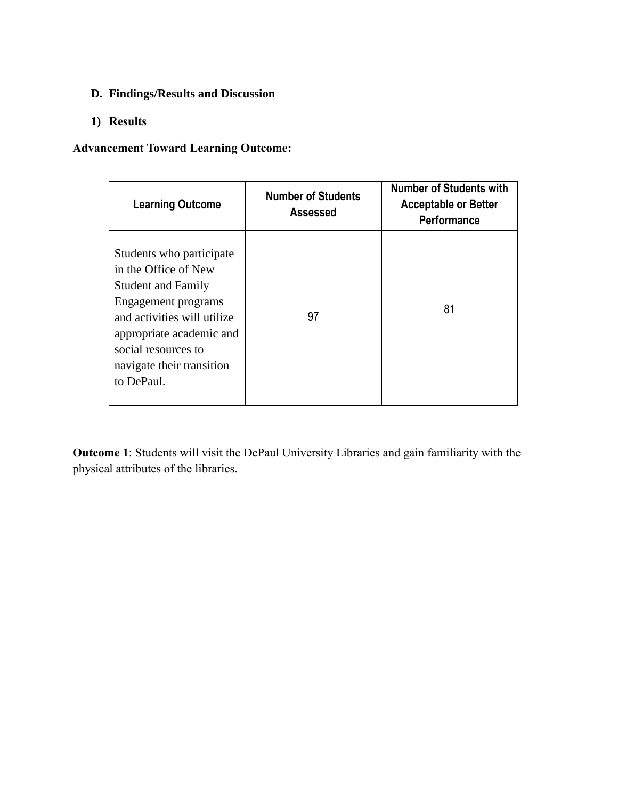# **D. Findings/Results and Discussion**

# **1) Results**

# **Advancement Toward Learning Outcome:**

| <b>Learning Outcome</b>                                                                                                                                                                                                           | <b>Number of Students</b><br>Assessed | <b>Number of Students with</b><br><b>Acceptable or Better</b><br><b>Performance</b> |
|-----------------------------------------------------------------------------------------------------------------------------------------------------------------------------------------------------------------------------------|---------------------------------------|-------------------------------------------------------------------------------------|
| Students who participate<br>in the Office of New<br><b>Student and Family</b><br>Engagement programs<br>and activities will utilize<br>appropriate academic and<br>social resources to<br>navigate their transition<br>to DePaul. | 97                                    | 81                                                                                  |

**Outcome 1**: Students will visit the DePaul University Libraries and gain familiarity with the physical attributes of the libraries.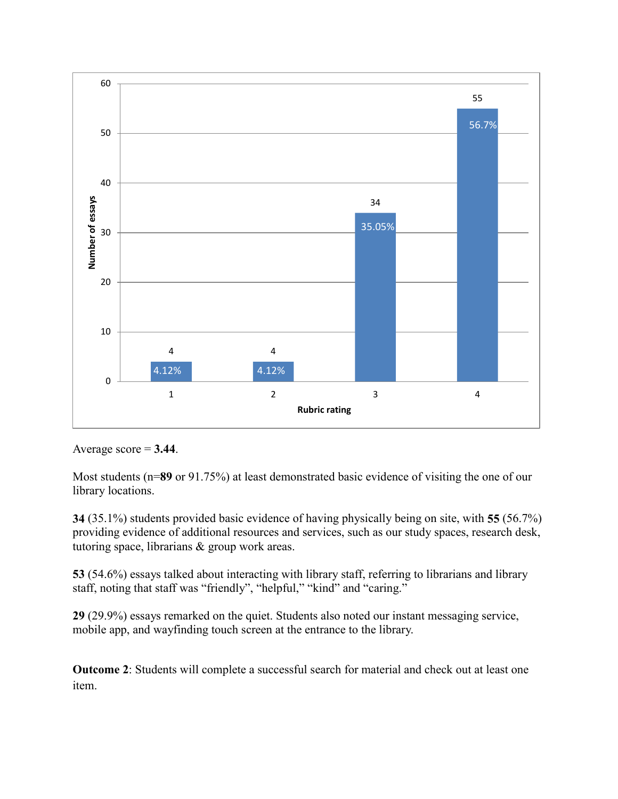

Average  $score = 3.44$ .

Most students ( $n=89$  or 91.75%) at least demonstrated basic evidence of visiting the one of our library locations.

**34** (35.1%) students provided basic evidence of having physically being on site, with **55** (56.7%) providing evidence of additional resources and services, such as our study spaces, research desk, tutoring space, librarians & group work areas.

**53** (54.6%) essays talked about interacting with library staff, referring to librarians and library staff, noting that staff was "friendly", "helpful," "kind" and "caring."

**29** (29.9%) essays remarked on the quiet. Students also noted our instant messaging service, mobile app, and wayfinding touch screen at the entrance to the library.

**Outcome 2**: Students will complete a successful search for material and check out at least one item.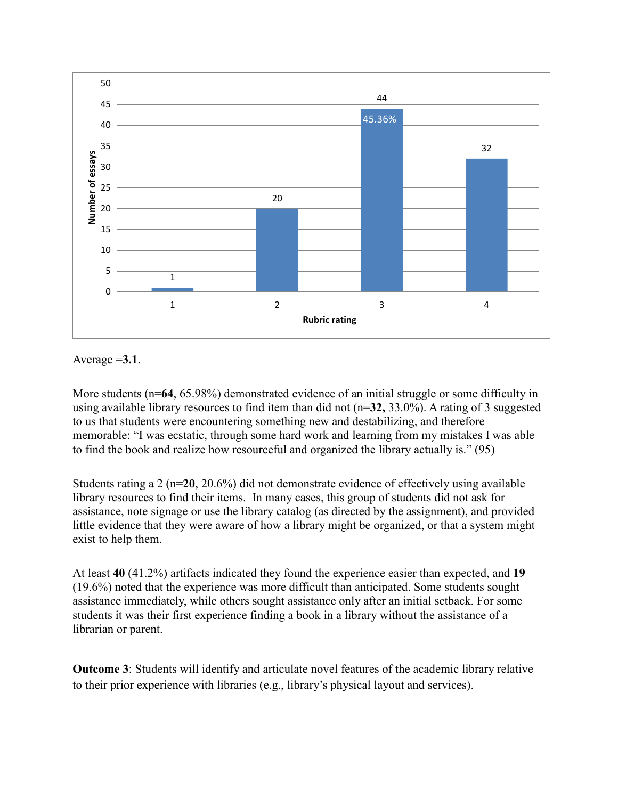

Average =**3.1**.

More students ( $n=64$ , 65.98%) demonstrated evidence of an initial struggle or some difficulty in using available library resources to find item than did not (n=**32,** 33.0%). A rating of 3 suggested to us that students were encountering something new and destabilizing, and therefore memorable: "I was ecstatic, through some hard work and learning from my mistakes I was able to find the book and realize how resourceful and organized the library actually is." (95)

Students rating a 2 (n=**20**, 20.6%) did not demonstrate evidence of effectively using available library resources to find their items. In many cases, this group of students did not ask for assistance, note signage or use the library catalog (as directed by the assignment), and provided little evidence that they were aware of how a library might be organized, or that a system might exist to help them.

At least **40** (41.2%) artifacts indicated they found the experience easier than expected, and **19** (19.6%) noted that the experience was more difficult than anticipated. Some students sought assistance immediately, while others sought assistance only after an initial setback. For some students it was their first experience finding a book in a library without the assistance of a librarian or parent.

**Outcome 3**: Students will identify and articulate novel features of the academic library relative to their prior experience with libraries (e.g., library"s physical layout and services).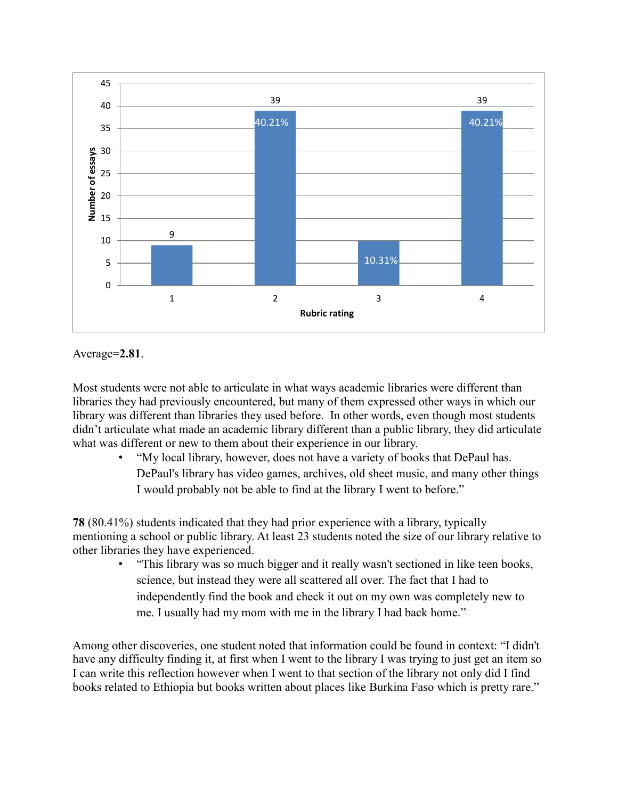



Most students were not able to articulate in what ways academic libraries were different than libraries they had previously encountered, but many of them expressed other ways in which our library was different than libraries they used before. In other words, even though most students didn"t articulate what made an academic library different than a public library, they did articulate what was different or new to them about their experience in our library.

• "My local library, however, does not have a variety of books that DePaul has. DePaul's library has video games, archives, old sheet music, and many other things I would probably not be able to find at the library I went to before."

**78** (80.41%) students indicated that they had prior experience with a library, typically mentioning a school or public library. At least 23 students noted the size of our library relative to other libraries they have experienced.

• "This library was so much bigger and it really wasn't sectioned in like teen books, science, but instead they were all scattered all over. The fact that I had to independently find the book and check it out on my own was completely new to me. I usually had my mom with me in the library I had back home."

Among other discoveries, one student noted that information could be found in context: "I didn't have any difficulty finding it, at first when I went to the library I was trying to just get an item so I can write this reflection however when I went to that section of the library not only did I find books related to Ethiopia but books written about places like Burkina Faso which is pretty rare."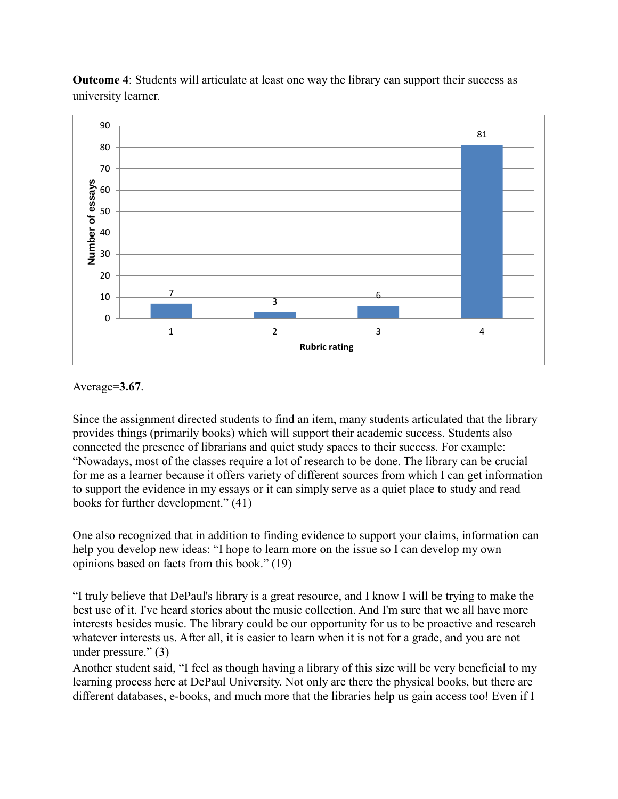

**Outcome 4**: Students will articulate at least one way the library can support their success as university learner.

Average=**3.67**.

Since the assignment directed students to find an item, many students articulated that the library provides things (primarily books) which will support their academic success. Students also connected the presence of librarians and quiet study spaces to their success. For example: "Nowadays, most of the classes require a lot of research to be done. The library can be crucial for me as a learner because it offers variety of different sources from which I can get information to support the evidence in my essays or it can simply serve as a quiet place to study and read books for further development." (41)

One also recognized that in addition to finding evidence to support your claims, information can help you develop new ideas: "I hope to learn more on the issue so I can develop my own opinions based on facts from this book." (19)

"I truly believe that DePaul's library is a great resource, and I know I will be trying to make the best use of it. I've heard stories about the music collection. And I'm sure that we all have more interests besides music. The library could be our opportunity for us to be proactive and research whatever interests us. After all, it is easier to learn when it is not for a grade, and you are not under pressure." (3)

Another student said, "I feel as though having a library of this size will be very beneficial to my learning process here at DePaul University. Not only are there the physical books, but there are different databases, e-books, and much more that the libraries help us gain access too! Even if I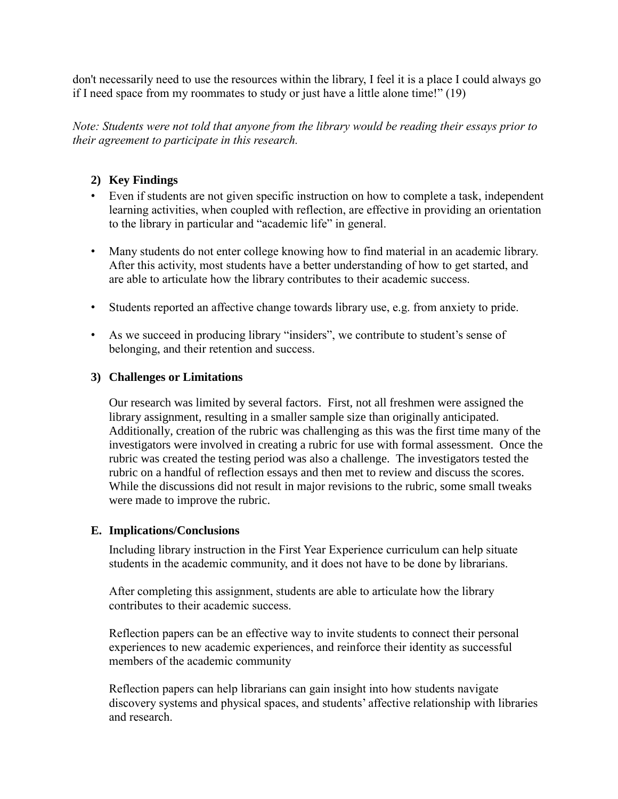don't necessarily need to use the resources within the library, I feel it is a place I could always go if I need space from my roommates to study or just have a little alone time!" (19)

*Note: Students were not told that anyone from the library would be reading their essays prior to their agreement to participate in this research.*

# **2) Key Findings**

- Even if students are not given specific instruction on how to complete a task, independent learning activities, when coupled with reflection, are effective in providing an orientation to the library in particular and "academic life" in general.
- Many students do not enter college knowing how to find material in an academic library. After this activity, most students have a better understanding of how to get started, and are able to articulate how the library contributes to their academic success.
- Students reported an affective change towards library use, e.g. from anxiety to pride.
- As we succeed in producing library "insiders", we contribute to student's sense of belonging, and their retention and success.

## **3) Challenges or Limitations**

Our research was limited by several factors. First, not all freshmen were assigned the library assignment, resulting in a smaller sample size than originally anticipated. Additionally, creation of the rubric was challenging as this was the first time many of the investigators were involved in creating a rubric for use with formal assessment. Once the rubric was created the testing period was also a challenge. The investigators tested the rubric on a handful of reflection essays and then met to review and discuss the scores. While the discussions did not result in major revisions to the rubric, some small tweaks were made to improve the rubric.

## **E. Implications/Conclusions**

Including library instruction in the First Year Experience curriculum can help situate students in the academic community, and it does not have to be done by librarians.

After completing this assignment, students are able to articulate how the library contributes to their academic success.

Reflection papers can be an effective way to invite students to connect their personal experiences to new academic experiences, and reinforce their identity as successful members of the academic community

Reflection papers can help librarians can gain insight into how students navigate discovery systems and physical spaces, and students' affective relationship with libraries and research.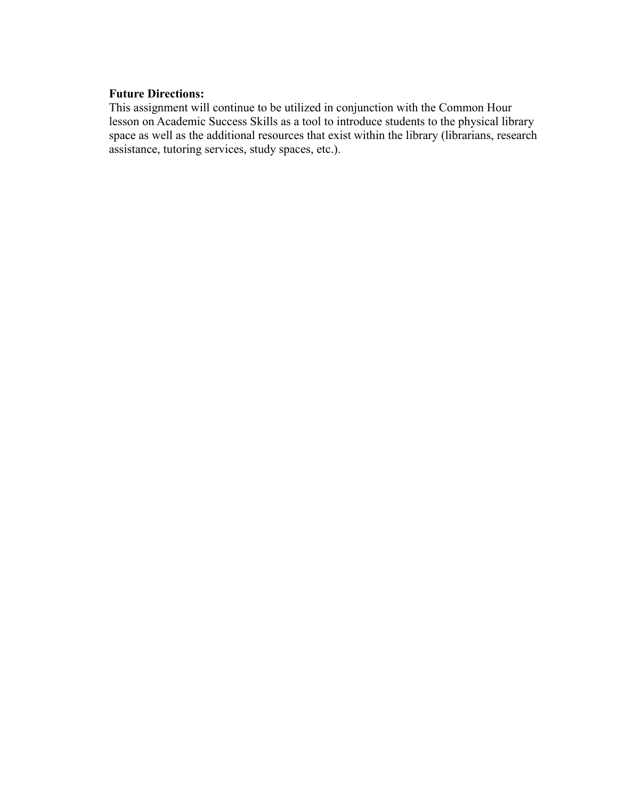#### **Future Directions:**

This assignment will continue to be utilized in conjunction with the Common Hour lesson on Academic Success Skills as a tool to introduce students to the physical library space as well as the additional resources that exist within the library (librarians, research assistance, tutoring services, study spaces, etc.).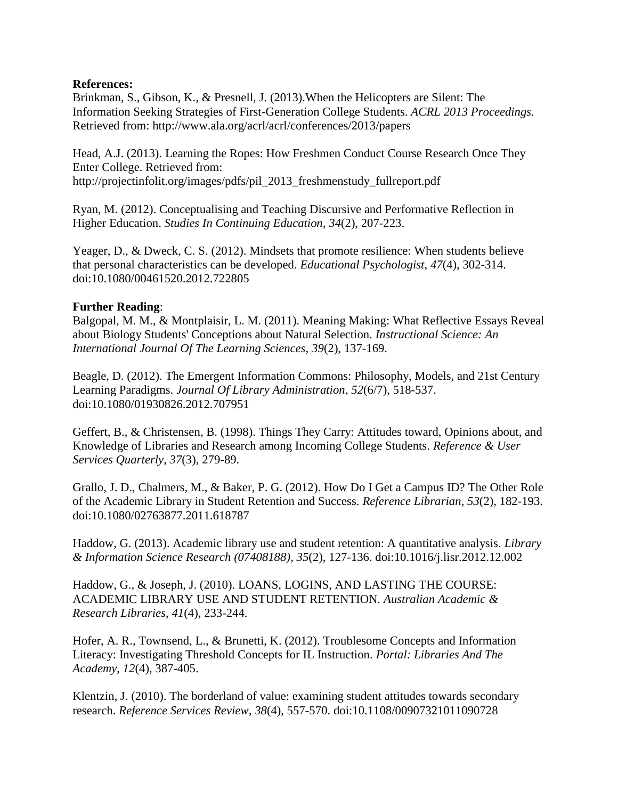### **References:**

Brinkman, S., Gibson, K., & Presnell, J. (2013).When the Helicopters are Silent: The Information Seeking Strategies of First-Generation College Students. *ACRL 2013 Proceedings.*  Retrieved from: http://www.ala.org/acrl/acrl/conferences/2013/papers

Head, A.J. (2013). Learning the Ropes: How Freshmen Conduct Course Research Once They Enter College. Retrieved from: http://projectinfolit.org/images/pdfs/pil\_2013\_freshmenstudy\_fullreport.pdf

Ryan, M. (2012). Conceptualising and Teaching Discursive and Performative Reflection in Higher Education. *Studies In Continuing Education*, *34*(2), 207-223.

Yeager, D., & Dweck, C. S. (2012). Mindsets that promote resilience: When students believe that personal characteristics can be developed. *Educational Psychologist*, *47*(4), 302-314. doi:10.1080/00461520.2012.722805

### **Further Reading**:

Balgopal, M. M., & Montplaisir, L. M. (2011). Meaning Making: What Reflective Essays Reveal about Biology Students' Conceptions about Natural Selection. *Instructional Science: An International Journal Of The Learning Sciences*, *39*(2), 137-169.

Beagle, D. (2012). The Emergent Information Commons: Philosophy, Models, and 21st Century Learning Paradigms. *Journal Of Library Administration*, *52*(6/7), 518-537. doi:10.1080/01930826.2012.707951

Geffert, B., & Christensen, B. (1998). Things They Carry: Attitudes toward, Opinions about, and Knowledge of Libraries and Research among Incoming College Students. *Reference & User Services Quarterly*, *37*(3), 279-89.

Grallo, J. D., Chalmers, M., & Baker, P. G. (2012). How Do I Get a Campus ID? The Other Role of the Academic Library in Student Retention and Success. *Reference Librarian*, *53*(2), 182-193. doi:10.1080/02763877.2011.618787

Haddow, G. (2013). Academic library use and student retention: A quantitative analysis. *Library & Information Science Research (07408188)*, *35*(2), 127-136. doi:10.1016/j.lisr.2012.12.002

Haddow, G., & Joseph, J. (2010). LOANS, LOGINS, AND LASTING THE COURSE: ACADEMIC LIBRARY USE AND STUDENT RETENTION. *Australian Academic & Research Libraries*, *41*(4), 233-244.

Hofer, A. R., Townsend, L., & Brunetti, K. (2012). Troublesome Concepts and Information Literacy: Investigating Threshold Concepts for IL Instruction. *Portal: Libraries And The Academy*, *12*(4), 387-405.

Klentzin, J. (2010). The borderland of value: examining student attitudes towards secondary research. *Reference Services Review*, *38*(4), 557-570. doi:10.1108/00907321011090728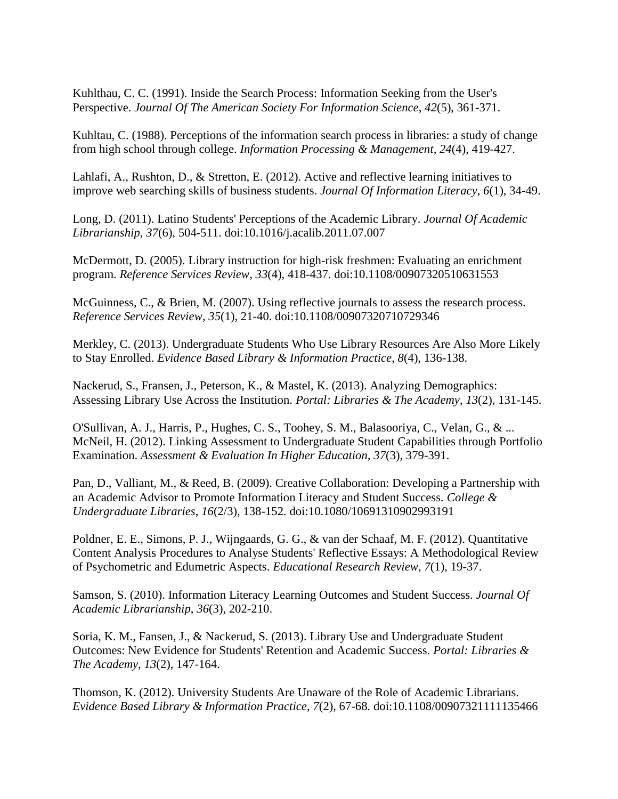Kuhlthau, C. C. (1991). Inside the Search Process: Information Seeking from the User's Perspective. *Journal Of The American Society For Information Science*, *42*(5), 361-371.

Kuhltau, C. (1988). Perceptions of the information search process in libraries: a study of change from high school through college. *Information Processing & Management*, *24*(4), 419-427.

Lahlafi, A., Rushton, D., & Stretton, E. (2012). Active and reflective learning initiatives to improve web searching skills of business students. *Journal Of Information Literacy*, *6*(1), 34-49.

Long, D. (2011). Latino Students' Perceptions of the Academic Library. *Journal Of Academic Librarianship*, *37*(6), 504-511. doi:10.1016/j.acalib.2011.07.007

McDermott, D. (2005). Library instruction for high-risk freshmen: Evaluating an enrichment program. *Reference Services Review*, *33*(4), 418-437. doi:10.1108/00907320510631553

McGuinness, C., & Brien, M. (2007). Using reflective journals to assess the research process. *Reference Services Review*, *35*(1), 21-40. doi:10.1108/00907320710729346

Merkley, C. (2013). Undergraduate Students Who Use Library Resources Are Also More Likely to Stay Enrolled. *Evidence Based Library & Information Practice*, *8*(4), 136-138.

Nackerud, S., Fransen, J., Peterson, K., & Mastel, K. (2013). Analyzing Demographics: Assessing Library Use Across the Institution. *Portal: Libraries & The Academy*, *13*(2), 131-145.

O'Sullivan, A. J., Harris, P., Hughes, C. S., Toohey, S. M., Balasooriya, C., Velan, G., & ... McNeil, H. (2012). Linking Assessment to Undergraduate Student Capabilities through Portfolio Examination. *Assessment & Evaluation In Higher Education*, *37*(3), 379-391.

Pan, D., Valliant, M., & Reed, B. (2009). Creative Collaboration: Developing a Partnership with an Academic Advisor to Promote Information Literacy and Student Success. *College & Undergraduate Libraries*, *16*(2/3), 138-152. doi:10.1080/10691310902993191

Poldner, E. E., Simons, P. J., Wijngaards, G. G., & van der Schaaf, M. F. (2012). Quantitative Content Analysis Procedures to Analyse Students' Reflective Essays: A Methodological Review of Psychometric and Edumetric Aspects. *Educational Research Review*, *7*(1), 19-37.

Samson, S. (2010). Information Literacy Learning Outcomes and Student Success. *Journal Of Academic Librarianship*, *36*(3), 202-210.

Soria, K. M., Fansen, J., & Nackerud, S. (2013). Library Use and Undergraduate Student Outcomes: New Evidence for Students' Retention and Academic Success. *Portal: Libraries & The Academy*, *13*(2), 147-164.

Thomson, K. (2012). University Students Are Unaware of the Role of Academic Librarians. *Evidence Based Library & Information Practice*, *7*(2), 67-68. doi:10.1108/00907321111135466